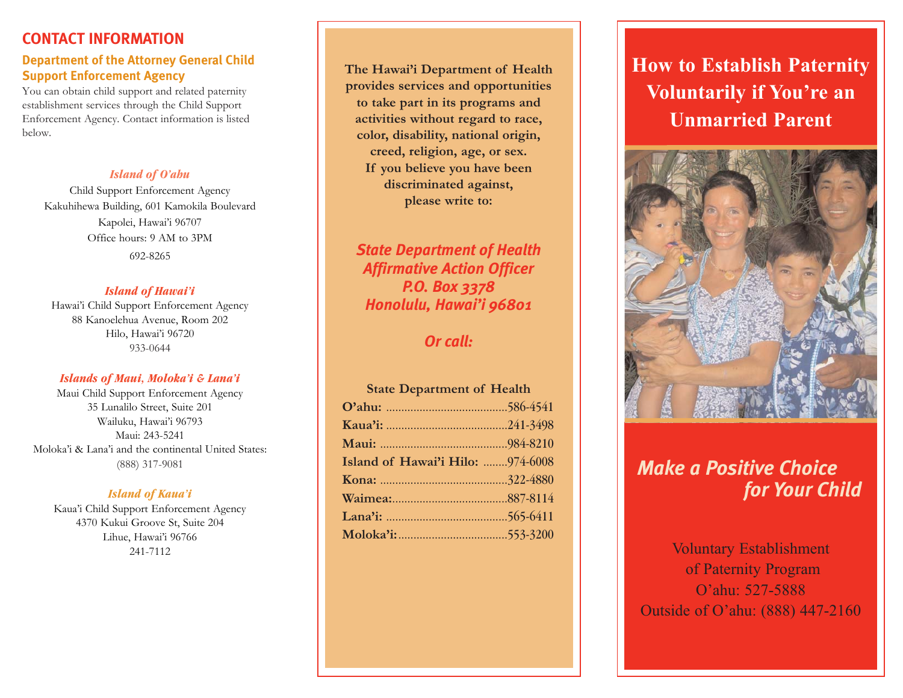# **CONTACT INFORMATION**

## **Department of the Attorney General Child Support Enforcement Agency**

You can obtain child support and related paternity establishment services through the Child Support Enforcement Agency. Contact information is listed below.

# *Island of O'ahu*

Child Support Enforcement Agency Kakuhihewa Building, 601 Kamokila Boulevard Kapolei, Hawai'i 96707 Office hours: 9 AM to 3PM 692-8265

#### *Island of Hawai'i*

Hawai'i Child Support Enforcement Agency 88 Kanoelehua Avenue, Room 202 Hilo, Hawai'i 96720 933-0644

#### *Islands of Maui, Moloka'i & Lana'i*

Maui Child Support Enforcement Agency 35 Lunalilo Street, Suite 201 Wailuku, Hawai'i 96793 Maui: 243-5241 Moloka'i & Lana'i and the continental United States: (888) 317-9081

#### *Island of Kaua'i*

Kaua'i Child Support Enforcement Agency 4370 Kukui Groove St, Suite 204 Lihue, Hawai'i 96766

**The Hawai'i Department of Health provides services and opportunities to take part in its programs and activities without regard to race, color, disability, national origin, creed, religion, age, or sex. If you believe you have been discriminated against, please write to:**

# *State Department of Health Affirmative Action Officer P.O. Box 3378 Honolulu, Hawai'i 96801*

# *Or call:*

#### **State Department of Health**

| Island of Hawai'i Hilo: 974-6008 |  |
|----------------------------------|--|
|                                  |  |
|                                  |  |
|                                  |  |
|                                  |  |

# **How to Establish Paternity Voluntarily if You're an Unmarried Parent**



# *Make a Positive Choice for Your Child*

<sup>2</sup> 241-7112 Voluntary Establishment of Paternity Program O'ahu: 527-5888 Outside of O'ahu: (888) 447-2160